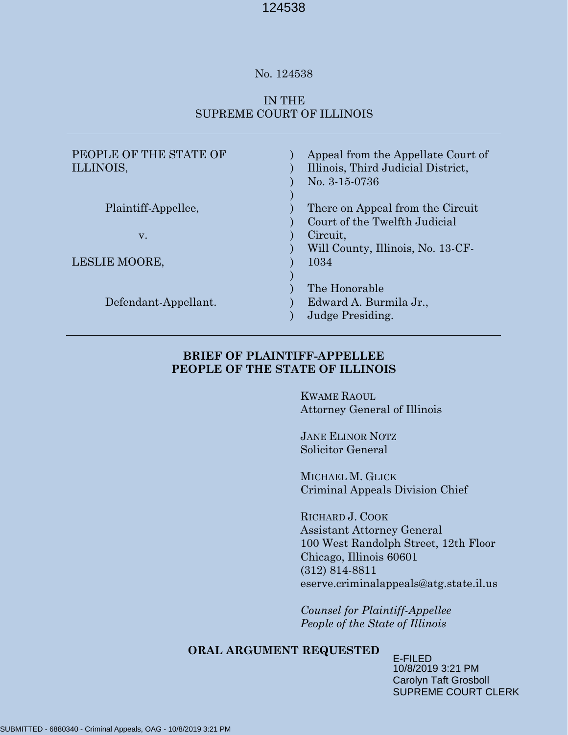#### No. 124538

## IN THE SUPREME COURT OF ILLINOIS

| Appeal from the Appellate Court of<br>Illinois, Third Judicial District,<br>No. 3-15-0736 |
|-------------------------------------------------------------------------------------------|
| There on Appeal from the Circuit                                                          |
| Court of the Twelfth Judicial                                                             |
| Circuit.                                                                                  |
| Will County, Illinois, No. 13-CF-                                                         |
| 1034                                                                                      |
|                                                                                           |
| The Honorable                                                                             |
| Edward A. Burmila Jr.,                                                                    |
| Judge Presiding.                                                                          |
|                                                                                           |

## **BRIEF OF PLAINTIFF-APPELLEE PEOPLE OF THE STATE OF ILLINOIS**

KWAME RAOUL Attorney General of Illinois

JANE ELINOR NOTZ Solicitor General

MICHAEL M. GLICK Criminal Appeals Division Chief

RICHARD J. COOK Assistant Attorney General 100 West Randolph Street, 12th Floor Chicago, Illinois 60601 (312) 814-8811 eserve.criminalappeals@atg.state.il.us

*Counsel for Plaintiff-Appellee People of the State of Illinois*

## **ORAL ARGUMENT REQUESTED**

E-FILED 10/8/2019 3:21 PM Carolyn Taft Grosboll SUPREME COURT CLERK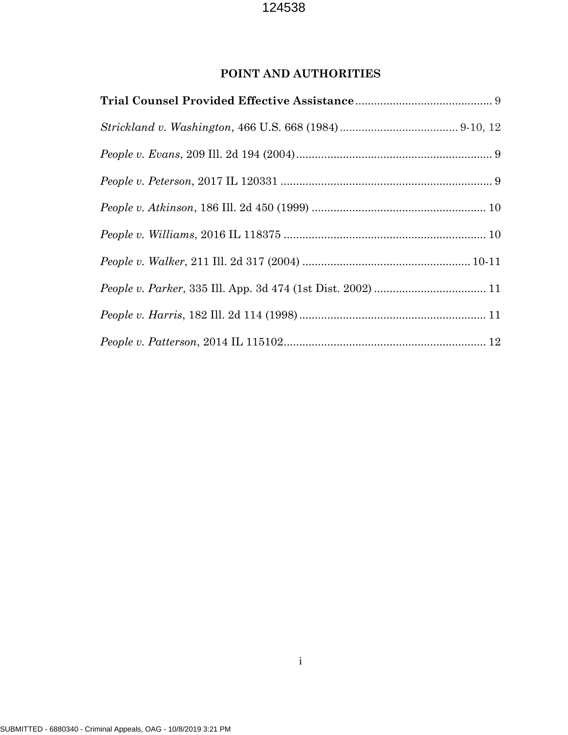# **POINT AND AUTHORITIES**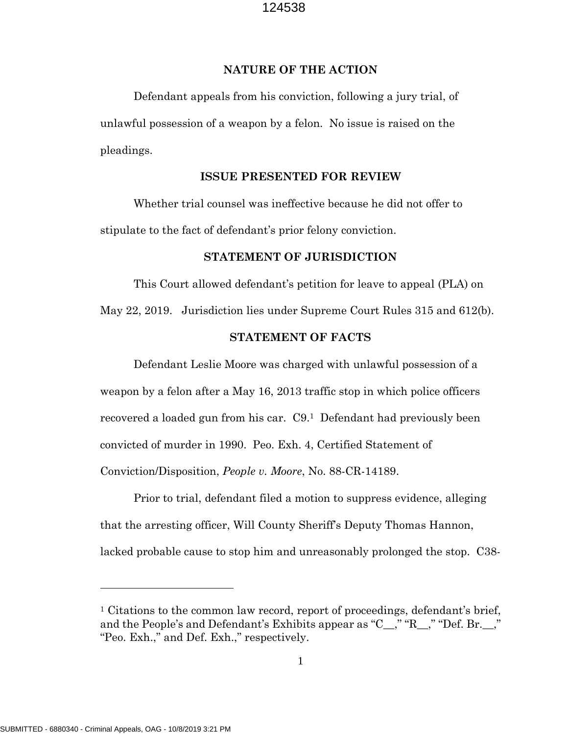#### **NATURE OF THE ACTION**

Defendant appeals from his conviction, following a jury trial, of unlawful possession of a weapon by a felon. No issue is raised on the pleadings.

#### **ISSUE PRESENTED FOR REVIEW**

Whether trial counsel was ineffective because he did not offer to stipulate to the fact of defendant's prior felony conviction.

#### **STATEMENT OF JURISDICTION**

This Court allowed defendant's petition for leave to appeal (PLA) on May 22, 2019. Jurisdiction lies under Supreme Court Rules 315 and 612(b).

#### **STATEMENT OF FACTS**

Defendant Leslie Moore was charged with unlawful possession of a weapon by a felon after a May 16, 2013 traffic stop in which police officers recovered a loaded gun from his car. C9. <sup>1</sup> Defendant had previously been convicted of murder in 1990. Peo. Exh. 4, Certified Statement of Conviction/Disposition, *People v. Moore*, No. 88-CR-14189.

Prior to trial, defendant filed a motion to suppress evidence, alleging that the arresting officer, Will County Sheriff's Deputy Thomas Hannon, lacked probable cause to stop him and unreasonably prolonged the stop. C38-

 $\overline{a}$ 

<sup>&</sup>lt;sup>1</sup> Citations to the common law record, report of proceedings, defendant's brief, and the People's and Defendant's Exhibits appear as "C\_\_," "R\_\_," "Def. Br.\_\_," "Peo. Exh.," and Def. Exh.," respectively.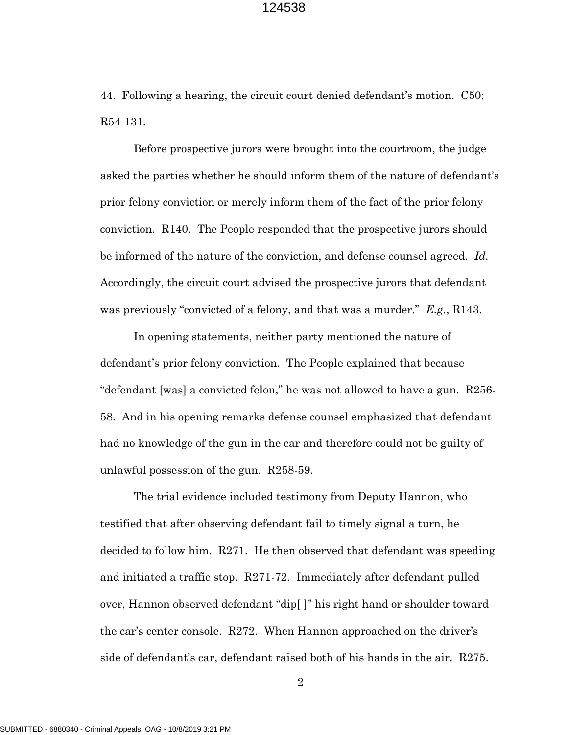44. Following a hearing, the circuit court denied defendant's motion. C50; R54-131.

Before prospective jurors were brought into the courtroom, the judge asked the parties whether he should inform them of the nature of defendant's prior felony conviction or merely inform them of the fact of the prior felony conviction. R140. The People responded that the prospective jurors should be informed of the nature of the conviction, and defense counsel agreed. *Id.*  Accordingly, the circuit court advised the prospective jurors that defendant was previously "convicted of a felony, and that was a murder." *E.g.*, R143.

In opening statements, neither party mentioned the nature of defendant's prior felony conviction. The People explained that because "defendant [was] a convicted felon," he was not allowed to have a gun. R256- 58. And in his opening remarks defense counsel emphasized that defendant had no knowledge of the gun in the car and therefore could not be guilty of unlawful possession of the gun. R258-59.

The trial evidence included testimony from Deputy Hannon, who testified that after observing defendant fail to timely signal a turn, he decided to follow him. R271. He then observed that defendant was speeding and initiated a traffic stop. R271-72. Immediately after defendant pulled over, Hannon observed defendant "dip[ ]" his right hand or shoulder toward the car's center console. R272. When Hannon approached on the driver's side of defendant's car, defendant raised both of his hands in the air. R275.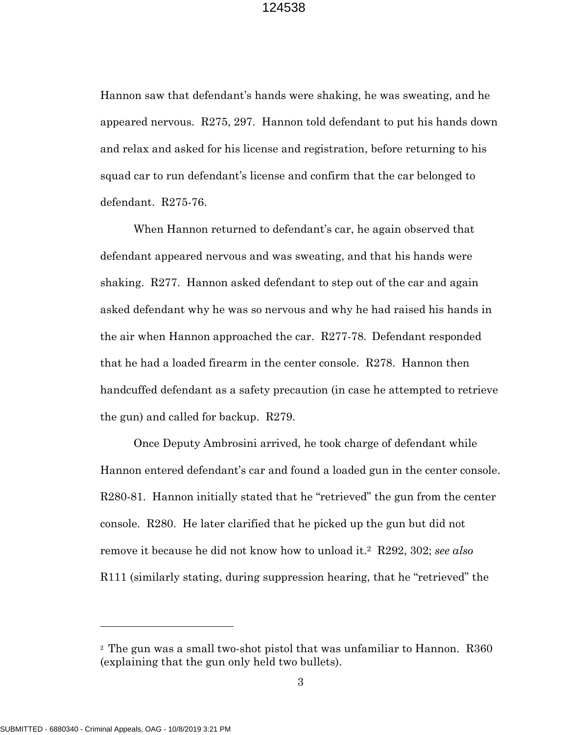Hannon saw that defendant's hands were shaking, he was sweating, and he appeared nervous. R275, 297. Hannon told defendant to put his hands down and relax and asked for his license and registration, before returning to his squad car to run defendant's license and confirm that the car belonged to defendant. R275-76.

When Hannon returned to defendant's car, he again observed that defendant appeared nervous and was sweating, and that his hands were shaking. R277. Hannon asked defendant to step out of the car and again asked defendant why he was so nervous and why he had raised his hands in the air when Hannon approached the car. R277-78. Defendant responded that he had a loaded firearm in the center console. R278. Hannon then handcuffed defendant as a safety precaution (in case he attempted to retrieve the gun) and called for backup. R279.

Once Deputy Ambrosini arrived, he took charge of defendant while Hannon entered defendant's car and found a loaded gun in the center console. R280-81. Hannon initially stated that he "retrieved" the gun from the center console. R280. He later clarified that he picked up the gun but did not remove it because he did not know how to unload it.2 R292, 302; *see also*  R111 (similarly stating, during suppression hearing, that he "retrieved" the

 $\overline{a}$ 

<sup>2</sup> The gun was a small two-shot pistol that was unfamiliar to Hannon. R360 (explaining that the gun only held two bullets).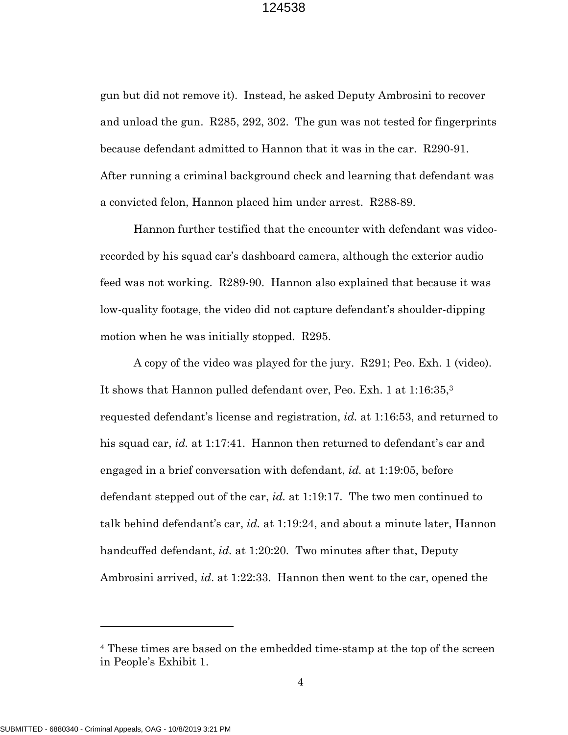gun but did not remove it). Instead, he asked Deputy Ambrosini to recover and unload the gun. R285, 292, 302. The gun was not tested for fingerprints because defendant admitted to Hannon that it was in the car. R290-91. After running a criminal background check and learning that defendant was a convicted felon, Hannon placed him under arrest. R288-89.

Hannon further testified that the encounter with defendant was videorecorded by his squad car's dashboard camera, although the exterior audio feed was not working. R289-90. Hannon also explained that because it was low-quality footage, the video did not capture defendant's shoulder-dipping motion when he was initially stopped. R295.

A copy of the video was played for the jury. R291; Peo. Exh. 1 (video). It shows that Hannon pulled defendant over, Peo. Exh. 1 at 1:16:35,3 requested defendant's license and registration, *id.* at 1:16:53, and returned to his squad car, *id.* at 1:17:41. Hannon then returned to defendant's car and engaged in a brief conversation with defendant, *id.* at 1:19:05, before defendant stepped out of the car, *id.* at 1:19:17. The two men continued to talk behind defendant's car, *id.* at 1:19:24, and about a minute later, Hannon handcuffed defendant, *id.* at 1:20:20. Two minutes after that, Deputy Ambrosini arrived, *id*. at 1:22:33. Hannon then went to the car, opened the

 $\overline{a}$ 

<sup>4</sup> These times are based on the embedded time-stamp at the top of the screen in People's Exhibit 1.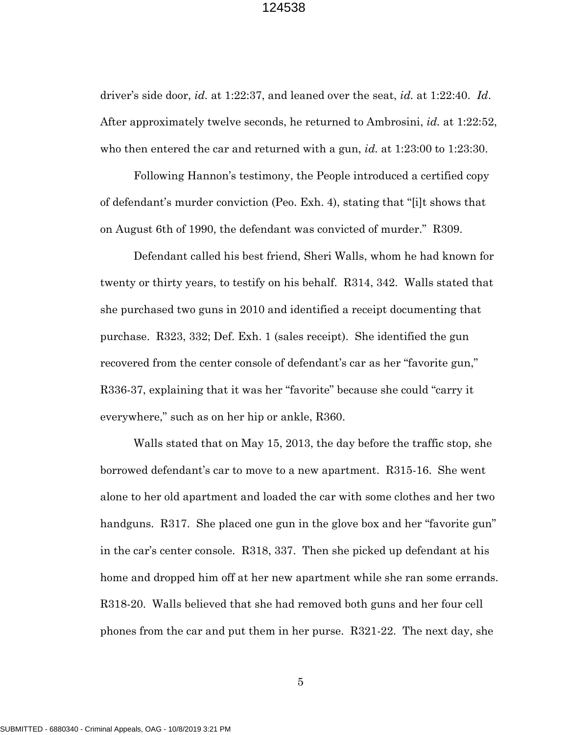driver's side door, *id.* at 1:22:37, and leaned over the seat, *id.* at 1:22:40. *Id*. After approximately twelve seconds, he returned to Ambrosini, *id.* at 1:22:52, who then entered the car and returned with a gun, *id.* at 1:23:00 to 1:23:30.

Following Hannon's testimony, the People introduced a certified copy of defendant's murder conviction (Peo. Exh. 4), stating that "[i]t shows that on August 6th of 1990, the defendant was convicted of murder." R309.

Defendant called his best friend, Sheri Walls, whom he had known for twenty or thirty years, to testify on his behalf. R314, 342. Walls stated that she purchased two guns in 2010 and identified a receipt documenting that purchase. R323, 332; Def. Exh. 1 (sales receipt). She identified the gun recovered from the center console of defendant's car as her "favorite gun," R336-37, explaining that it was her "favorite" because she could "carry it everywhere," such as on her hip or ankle, R360.

Walls stated that on May 15, 2013, the day before the traffic stop, she borrowed defendant's car to move to a new apartment. R315-16. She went alone to her old apartment and loaded the car with some clothes and her two handguns. R317. She placed one gun in the glove box and her "favorite gun" in the car's center console. R318, 337. Then she picked up defendant at his home and dropped him off at her new apartment while she ran some errands. R318-20. Walls believed that she had removed both guns and her four cell phones from the car and put them in her purse. R321-22. The next day, she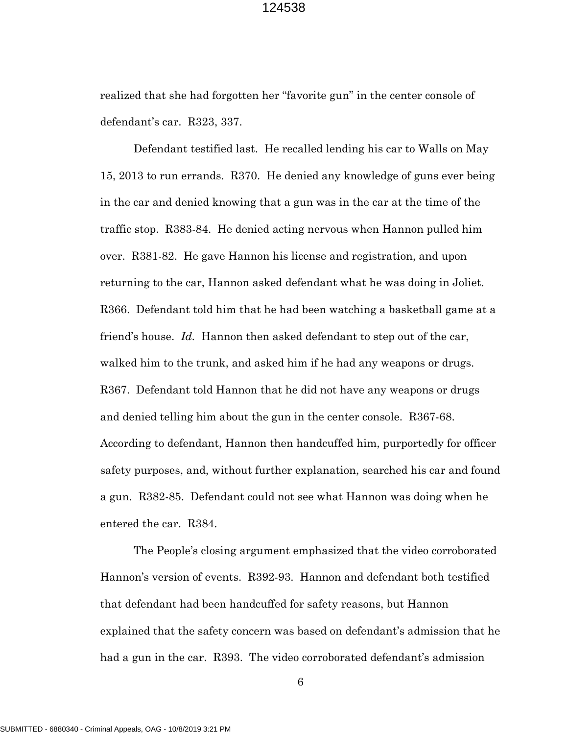realized that she had forgotten her "favorite gun" in the center console of defendant's car. R323, 337.

Defendant testified last. He recalled lending his car to Walls on May 15, 2013 to run errands. R370. He denied any knowledge of guns ever being in the car and denied knowing that a gun was in the car at the time of the traffic stop. R383-84. He denied acting nervous when Hannon pulled him over. R381-82. He gave Hannon his license and registration, and upon returning to the car, Hannon asked defendant what he was doing in Joliet. R366. Defendant told him that he had been watching a basketball game at a friend's house. *Id.* Hannon then asked defendant to step out of the car, walked him to the trunk, and asked him if he had any weapons or drugs. R367. Defendant told Hannon that he did not have any weapons or drugs and denied telling him about the gun in the center console. R367-68. According to defendant, Hannon then handcuffed him, purportedly for officer safety purposes, and, without further explanation, searched his car and found a gun. R382-85. Defendant could not see what Hannon was doing when he entered the car. R384.

The People's closing argument emphasized that the video corroborated Hannon's version of events. R392-93. Hannon and defendant both testified that defendant had been handcuffed for safety reasons, but Hannon explained that the safety concern was based on defendant's admission that he had a gun in the car. R393. The video corroborated defendant's admission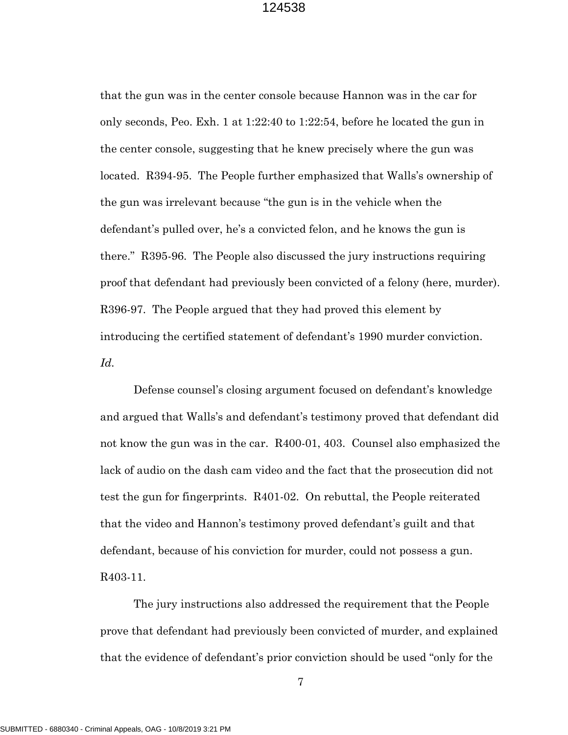that the gun was in the center console because Hannon was in the car for only seconds, Peo. Exh. 1 at 1:22:40 to 1:22:54, before he located the gun in the center console, suggesting that he knew precisely where the gun was located. R394-95. The People further emphasized that Walls's ownership of the gun was irrelevant because "the gun is in the vehicle when the defendant's pulled over, he's a convicted felon, and he knows the gun is there." R395-96. The People also discussed the jury instructions requiring proof that defendant had previously been convicted of a felony (here, murder). R396-97. The People argued that they had proved this element by introducing the certified statement of defendant's 1990 murder conviction. *Id.* 

Defense counsel's closing argument focused on defendant's knowledge and argued that Walls's and defendant's testimony proved that defendant did not know the gun was in the car. R400-01, 403. Counsel also emphasized the lack of audio on the dash cam video and the fact that the prosecution did not test the gun for fingerprints. R401-02. On rebuttal, the People reiterated that the video and Hannon's testimony proved defendant's guilt and that defendant, because of his conviction for murder, could not possess a gun. R403-11.

The jury instructions also addressed the requirement that the People prove that defendant had previously been convicted of murder, and explained that the evidence of defendant's prior conviction should be used "only for the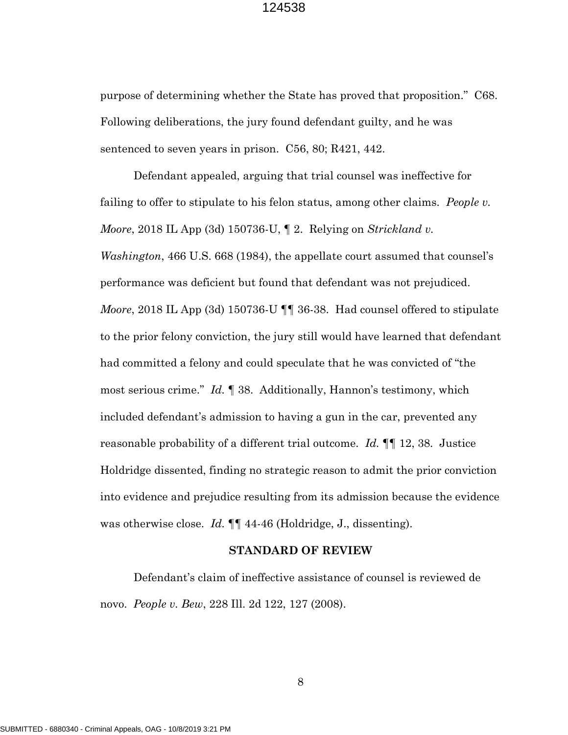purpose of determining whether the State has proved that proposition." C68. Following deliberations, the jury found defendant guilty, and he was sentenced to seven years in prison. C56, 80; R421, 442.

Defendant appealed, arguing that trial counsel was ineffective for failing to offer to stipulate to his felon status, among other claims. *People v. Moore*, 2018 IL App (3d) 150736-U, ¶ 2. Relying on *Strickland v. Washington*, 466 U.S. 668 (1984), the appellate court assumed that counsel's performance was deficient but found that defendant was not prejudiced. *Moore*, 2018 IL App (3d) 150736-U ¶¶ 36-38. Had counsel offered to stipulate to the prior felony conviction, the jury still would have learned that defendant had committed a felony and could speculate that he was convicted of "the most serious crime." *Id.* ¶ 38. Additionally, Hannon's testimony, which included defendant's admission to having a gun in the car, prevented any reasonable probability of a different trial outcome. *Id.* ¶¶ 12, 38. Justice Holdridge dissented, finding no strategic reason to admit the prior conviction into evidence and prejudice resulting from its admission because the evidence was otherwise close. *Id.* ¶¶ 44-46 (Holdridge, J., dissenting).

#### **STANDARD OF REVIEW**

Defendant's claim of ineffective assistance of counsel is reviewed de novo. *People v. Bew*, 228 Ill. 2d 122, 127 (2008).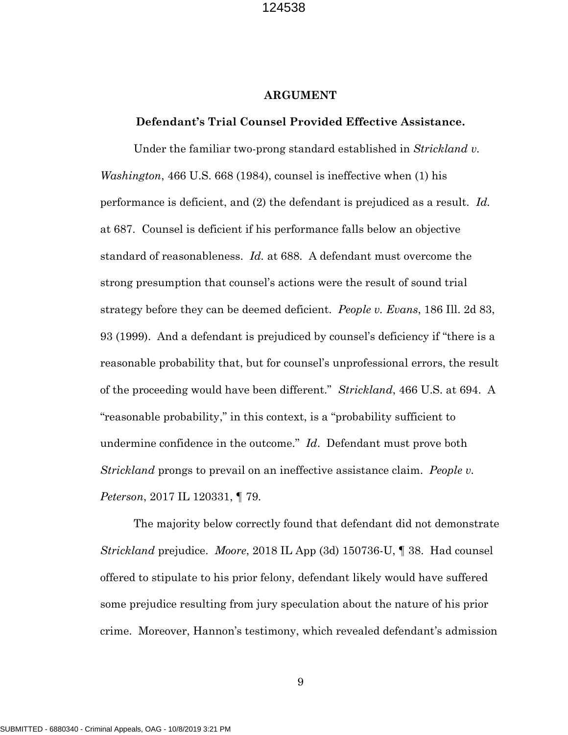#### **ARGUMENT**

#### **Defendant's Trial Counsel Provided Effective Assistance.**

Under the familiar two-prong standard established in *Strickland v. Washington*, 466 U.S. 668 (1984), counsel is ineffective when (1) his performance is deficient, and (2) the defendant is prejudiced as a result. *Id.* at 687.Counsel is deficient if his performance falls below an objective standard of reasonableness. *Id.* at 688. A defendant must overcome the strong presumption that counsel's actions were the result of sound trial strategy before they can be deemed deficient. *People v. Evans*, 186 Ill. 2d 83, 93 (1999). And a defendant is prejudiced by counsel's deficiency if "there is a reasonable probability that, but for counsel's unprofessional errors, the result of the proceeding would have been different." *Strickland*, 466 U.S. at 694. A "reasonable probability," in this context, is a "probability sufficient to undermine confidence in the outcome." *Id*. Defendant must prove both *Strickland* prongs to prevail on an ineffective assistance claim. *People v. Peterson*, 2017 IL 120331, ¶ 79*.*

The majority below correctly found that defendant did not demonstrate *Strickland* prejudice. *Moore*, 2018 IL App (3d) 150736-U, ¶ 38. Had counsel offered to stipulate to his prior felony, defendant likely would have suffered some prejudice resulting from jury speculation about the nature of his prior crime. Moreover, Hannon's testimony, which revealed defendant's admission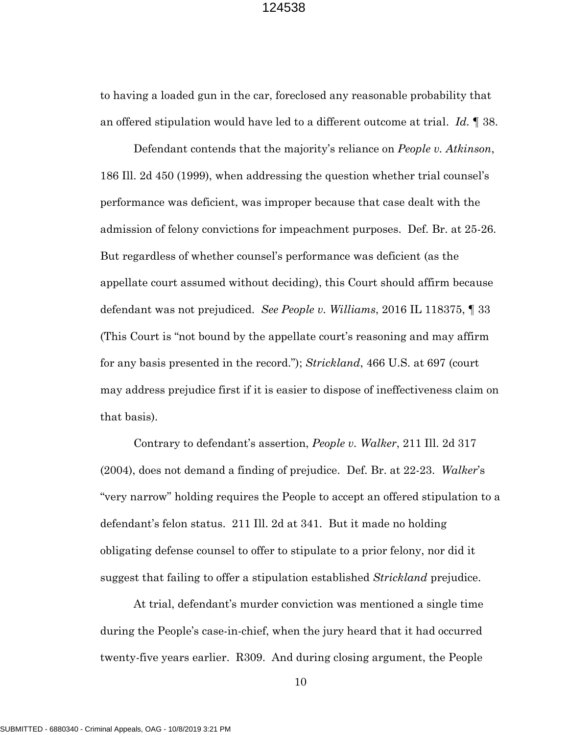to having a loaded gun in the car, foreclosed any reasonable probability that an offered stipulation would have led to a different outcome at trial. *Id.* ¶ 38.

Defendant contends that the majority's reliance on *People v. Atkinson*, 186 Ill. 2d 450 (1999), when addressing the question whether trial counsel's performance was deficient, was improper because that case dealt with the admission of felony convictions for impeachment purposes. Def. Br. at 25-26. But regardless of whether counsel's performance was deficient (as the appellate court assumed without deciding), this Court should affirm because defendant was not prejudiced. *See People v. Williams*, 2016 IL 118375, ¶ 33 (This Court is "not bound by the appellate court's reasoning and may affirm for any basis presented in the record."); *Strickland*, 466 U.S. at 697 (court may address prejudice first if it is easier to dispose of ineffectiveness claim on that basis).

Contrary to defendant's assertion, *People v. Walker*, 211 Ill. 2d 317 (2004), does not demand a finding of prejudice. Def. Br. at 22-23. *Walker*'s "very narrow" holding requires the People to accept an offered stipulation to a defendant's felon status. 211 Ill. 2d at 341. But it made no holding obligating defense counsel to offer to stipulate to a prior felony, nor did it suggest that failing to offer a stipulation established *Strickland* prejudice.

At trial, defendant's murder conviction was mentioned a single time during the People's case-in-chief, when the jury heard that it had occurred twenty-five years earlier. R309. And during closing argument, the People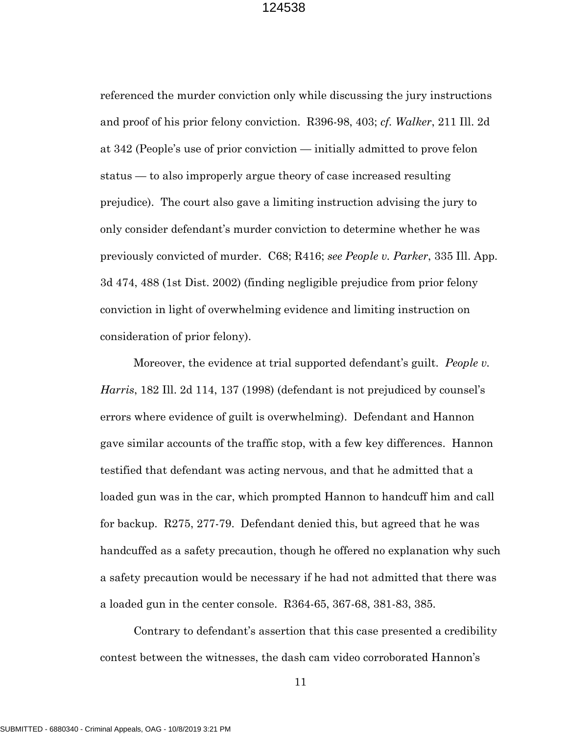referenced the murder conviction only while discussing the jury instructions and proof of his prior felony conviction. R396-98, 403; *cf. Walker*, 211 Ill. 2d at 342 (People's use of prior conviction — initially admitted to prove felon status — to also improperly argue theory of case increased resulting prejudice). The court also gave a limiting instruction advising the jury to only consider defendant's murder conviction to determine whether he was previously convicted of murder. C68; R416; *see People v. Parker*, 335 Ill. App. 3d 474, 488 (1st Dist. 2002) (finding negligible prejudice from prior felony conviction in light of overwhelming evidence and limiting instruction on consideration of prior felony).

Moreover, the evidence at trial supported defendant's guilt. *People v. Harris*, 182 Ill. 2d 114, 137 (1998) (defendant is not prejudiced by counsel's errors where evidence of guilt is overwhelming). Defendant and Hannon gave similar accounts of the traffic stop, with a few key differences. Hannon testified that defendant was acting nervous, and that he admitted that a loaded gun was in the car, which prompted Hannon to handcuff him and call for backup. R275, 277-79. Defendant denied this, but agreed that he was handcuffed as a safety precaution, though he offered no explanation why such a safety precaution would be necessary if he had not admitted that there was a loaded gun in the center console. R364-65, 367-68, 381-83, 385.

Contrary to defendant's assertion that this case presented a credibility contest between the witnesses, the dash cam video corroborated Hannon's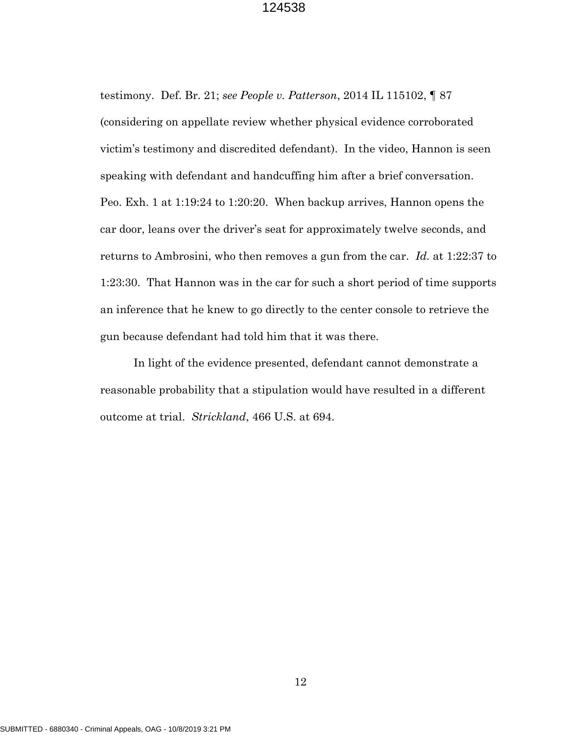testimony. Def. Br. 21; *see People v. Patterson*, 2014 IL 115102, ¶ 87 (considering on appellate review whether physical evidence corroborated victim's testimony and discredited defendant). In the video, Hannon is seen speaking with defendant and handcuffing him after a brief conversation. Peo. Exh. 1 at 1:19:24 to 1:20:20. When backup arrives, Hannon opens the car door, leans over the driver's seat for approximately twelve seconds, and returns to Ambrosini, who then removes a gun from the car. *Id.* at 1:22:37 to 1:23:30. That Hannon was in the car for such a short period of time supports an inference that he knew to go directly to the center console to retrieve the gun because defendant had told him that it was there.

In light of the evidence presented, defendant cannot demonstrate a reasonable probability that a stipulation would have resulted in a different outcome at trial. *Strickland*, 466 U.S. at 694.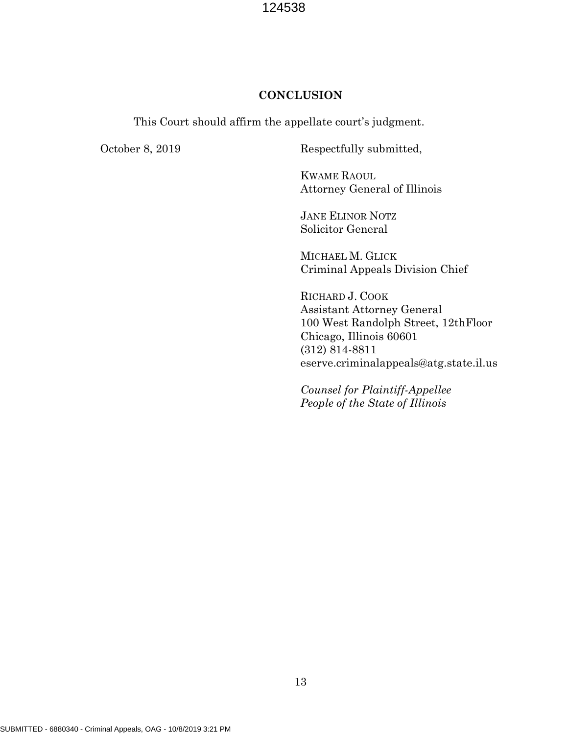#### **CONCLUSION**

This Court should affirm the appellate court's judgment.

October 8, 2019 Respectfully submitted,

KWAME RAOUL Attorney General of Illinois

JANE ELINOR NOTZ Solicitor General

MICHAEL M. GLICK Criminal Appeals Division Chief

RICHARD J. COOK Assistant Attorney General 100 West Randolph Street, 12thFloor Chicago, Illinois 60601 (312) 814-8811 eserve.criminalappeals@atg.state.il.us

*Counsel for Plaintiff-Appellee People of the State of Illinois*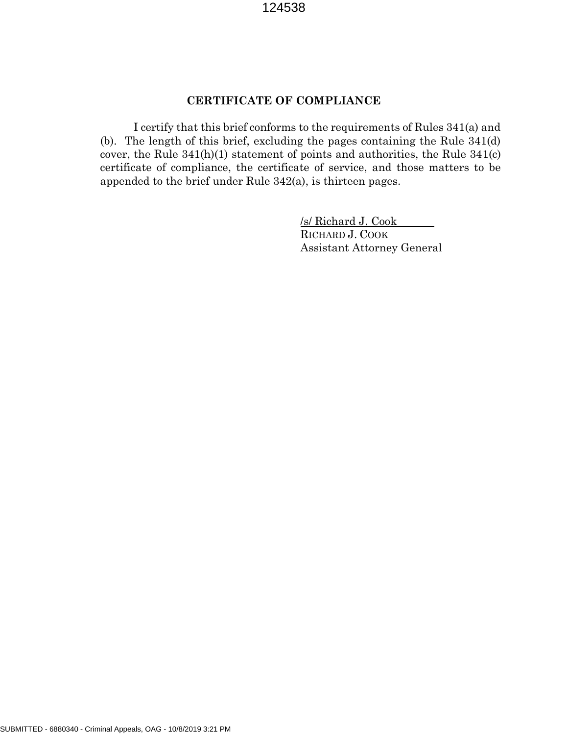## **CERTIFICATE OF COMPLIANCE**

I certify that this brief conforms to the requirements of Rules 341(a) and (b). The length of this brief, excluding the pages containing the Rule 341(d) cover, the Rule 341(h)(1) statement of points and authorities, the Rule 341(c) certificate of compliance, the certificate of service, and those matters to be appended to the brief under Rule 342(a), is thirteen pages.

> /s/ Richard J. Cook RICHARD J. COOK Assistant Attorney General